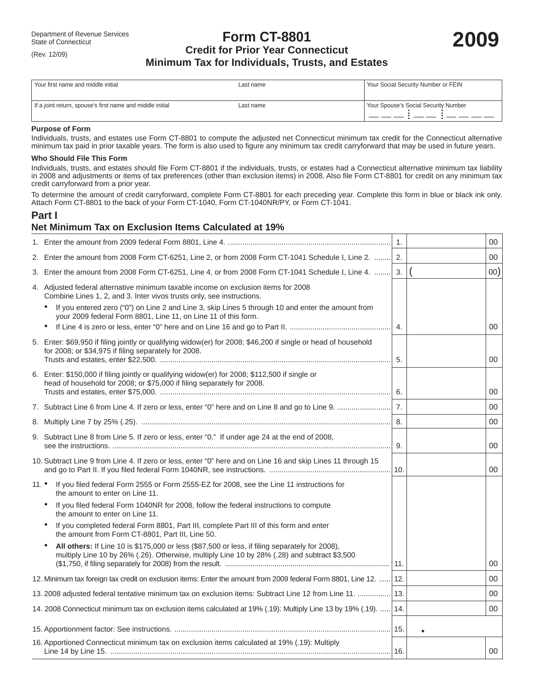# **Form CT-8801** Department of Revenue Services<br>
State of Connecticut<br> **2009** Credit for Prior Year Connecticut **Minimum Tax for Individuals, Trusts, and Estates**

| Your first name and middle initial                        | Last name | Your Social Security Number or FEIN  |
|-----------------------------------------------------------|-----------|--------------------------------------|
| If a joint return, spouse's first name and middle initial | Last name | Your Spouse's Social Security Number |

#### **Purpose of Form**

(Rev. 12/09)

Individuals, trusts, and estates use Form CT-8801 to compute the adjusted net Connecticut minimum tax credit for the Connecticut alternative minimum tax paid in prior taxable years. The form is also used to figure any minimum tax credit carryforward that may be used in future years.

#### **Who Should File This Form**

Individuals, trusts, and estates should file Form CT-8801 if the individuals, trusts, or estates had a Connecticut alternative minimum tax liability in 2008 and adjustments or items of tax preferences (other than exclusion items) in 2008. Also file Form CT-8801 for credit on any minimum tax credit carryforward from a prior year.

To determine the amount of credit carryforward, complete Form CT-8801 for each preceding year. Complete this form in blue or black ink only. Attach Form CT-8801 to the back of your Form CT-1040, Form CT-1040NR/PY, or Form CT-1041.

# **Part I**

## **Net Minimum Tax on Exclusion Items Calculated at 19%**

|                                                                                                                                                                                                | 1.               | 00     |
|------------------------------------------------------------------------------------------------------------------------------------------------------------------------------------------------|------------------|--------|
| 2. Enter the amount from 2008 Form CT-6251, Line 2, or from 2008 Form CT-1041 Schedule I, Line 2.  2.                                                                                          |                  | 00     |
| 3. Enter the amount from 2008 Form CT-6251, Line 4, or from 2008 Form CT-1041 Schedule I, Line 4.                                                                                              | 3.               | 00)    |
| 4. Adjusted federal alternative minimum taxable income on exclusion items for 2008<br>Combine Lines 1, 2, and 3. Inter vivos trusts only, see instructions.                                    |                  |        |
| If you entered zero ("0") on Line 2 and Line 3, skip Lines 5 through 10 and enter the amount from<br>your 2009 federal Form 8801, Line 11, on Line 11 of this form.                            | $\overline{4}$ . | 00     |
| 5. Enter: \$69,950 if filing jointly or qualifying widow(er) for 2008; \$46,200 if single or head of household<br>for 2008; or \$34,975 if filing separately for 2008.                         | 5.               | 00     |
| 6. Enter: \$150,000 if filing jointly or qualifying widow(er) for 2008; \$112,500 if single or<br>head of household for 2008; or \$75,000 if filing separately for 2008.                       |                  |        |
|                                                                                                                                                                                                | 6.               | 00     |
|                                                                                                                                                                                                | 7.               | 00     |
|                                                                                                                                                                                                | 8.               | 00     |
| 9. Subtract Line 8 from Line 5. If zero or less, enter "0." If under age 24 at the end of 2008,                                                                                                | 9.               | 00     |
| 10. Subtract Line 9 from Line 4. If zero or less, enter "0" here and on Line 16 and skip Lines 11 through 15                                                                                   |                  | 00     |
| $11.$ $\bullet$<br>If you filed federal Form 2555 or Form 2555-EZ for 2008, see the Line 11 instructions for<br>the amount to enter on Line 11.                                                |                  |        |
| If you filed federal Form 1040NR for 2008, follow the federal instructions to compute<br>$\bullet$<br>the amount to enter on Line 11.                                                          |                  |        |
| If you completed federal Form 8801, Part III, complete Part III of this form and enter<br>the amount from Form CT-8801, Part III, Line 50.                                                     |                  |        |
| All others: If Line 10 is \$175,000 or less (\$87,500 or less, if filing separately for 2008),<br>multiply Line 10 by 26% (.26). Otherwise, multiply Line 10 by 28% (.28) and subtract \$3,500 |                  | 00     |
| 12. Minimum tax foreign tax credit on exclusion items: Enter the amount from 2009 federal Form 8801, Line 12.    12.                                                                           |                  | 00     |
| 13. 2008 adjusted federal tentative minimum tax on exclusion items: Subtract Line 12 from Line 11.                                                                                             | 13.              | 00     |
| 14. 2008 Connecticut minimum tax on exclusion items calculated at 19% (.19): Multiply Line 13 by 19% (.19).                                                                                    | 14.              | 00     |
|                                                                                                                                                                                                | 15.              |        |
| 16. Apportioned Connecticut minimum tax on exclusion items calculated at 19% (.19): Multiply                                                                                                   | 16.              | $00\,$ |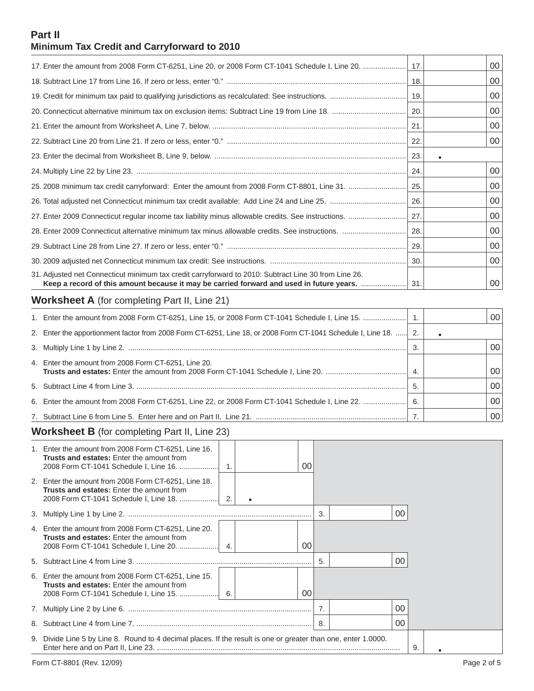# **Part II Minimum Tax Credit and Carryforward to 2010**

|                                                                                                                                                                                                       |      | 00      |
|-------------------------------------------------------------------------------------------------------------------------------------------------------------------------------------------------------|------|---------|
|                                                                                                                                                                                                       | -23. |         |
|                                                                                                                                                                                                       | 24.  | $00 \,$ |
|                                                                                                                                                                                                       | 25.  | 00      |
|                                                                                                                                                                                                       | 26.  | 00      |
|                                                                                                                                                                                                       |      | 00      |
|                                                                                                                                                                                                       |      | 00      |
|                                                                                                                                                                                                       | -29. | 00      |
|                                                                                                                                                                                                       |      | 00      |
| 31. Adjusted net Connecticut minimum tax credit carryforward to 2010: Subtract Line 30 from Line 26.<br>Keep a record of this amount because it may be carried forward and used in future years.  31. |      | 00      |
| <b>Worksheet A</b> (for completing Part II, Line 21)                                                                                                                                                  |      |         |

| 1. Enter the amount from 2008 Form CT-6251, Line 15, or 2008 Form CT-1041 Schedule I, Line 15.   1.              |  | 00 <sub>1</sub> |
|------------------------------------------------------------------------------------------------------------------|--|-----------------|
| 2. Enter the apportionment factor from 2008 Form CT-6251, Line 18, or 2008 Form CT-1041 Schedule I, Line 18.  2. |  |                 |
|                                                                                                                  |  | 00              |
| 4. Enter the amount from 2008 Form CT-6251, Line 20.                                                             |  | 00 <sup>1</sup> |
|                                                                                                                  |  | 00 <sub>1</sub> |
|                                                                                                                  |  | 00 <sub>1</sub> |
|                                                                                                                  |  | 00 <sub>1</sub> |

# **Worksheet B** (for completing Part II, Line 23)

| 1. Enter the amount from 2008 Form CT-6251, Line 16.<br><b>Trusts and estates:</b> Enter the amount from                                           |                | 00 |    |    |   |  |  |  |
|----------------------------------------------------------------------------------------------------------------------------------------------------|----------------|----|----|----|---|--|--|--|
| 2. Enter the amount from 2008 Form CT-6251, Line 18.<br><b>Trusts and estates:</b> Enter the amount from<br>2008 Form CT-1041 Schedule I, Line 18. | $\overline{2}$ |    |    |    |   |  |  |  |
|                                                                                                                                                    |                |    | 3. | 00 |   |  |  |  |
| 4. Enter the amount from 2008 Form CT-6251, Line 20.<br><b>Trusts and estates:</b> Enter the amount from                                           |                | 00 |    |    |   |  |  |  |
|                                                                                                                                                    |                |    | 5. | 00 |   |  |  |  |
| 6. Enter the amount from 2008 Form CT-6251, Line 15.<br><b>Trusts and estates:</b> Enter the amount from                                           |                | 00 |    |    |   |  |  |  |
|                                                                                                                                                    |                |    |    | 00 |   |  |  |  |
|                                                                                                                                                    |                |    | 8. | 00 |   |  |  |  |
| 9. Divide Line 5 by Line 8. Round to 4 decimal places. If the result is one or greater than one, enter 1.0000.                                     |                |    |    |    | 9 |  |  |  |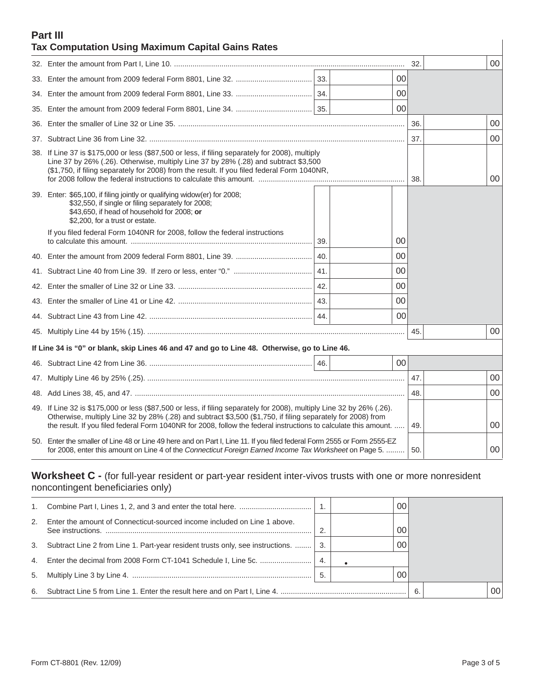## **Part III Tax Computation Using Maximum Capital Gains Rates**

| Tax Computation Osing Maximum Capital Gams Rates                                                                                                                                                                                                                                                                                                         |     |                 |     |    |
|----------------------------------------------------------------------------------------------------------------------------------------------------------------------------------------------------------------------------------------------------------------------------------------------------------------------------------------------------------|-----|-----------------|-----|----|
|                                                                                                                                                                                                                                                                                                                                                          |     |                 | 32. | 00 |
|                                                                                                                                                                                                                                                                                                                                                          |     | 00              |     |    |
|                                                                                                                                                                                                                                                                                                                                                          |     | 00              |     |    |
|                                                                                                                                                                                                                                                                                                                                                          |     | 00              |     |    |
|                                                                                                                                                                                                                                                                                                                                                          |     |                 | 36. | 00 |
|                                                                                                                                                                                                                                                                                                                                                          |     |                 | 37. | 00 |
| 38. If Line 37 is \$175,000 or less (\$87,500 or less, if filing separately for 2008), multiply<br>Line 37 by 26% (.26). Otherwise, multiply Line 37 by 28% (.28) and subtract \$3,500<br>(\$1,750, if filing separately for 2008) from the result. If you filed federal Form 1040NR,                                                                    |     |                 | 38. | 00 |
| 39. Enter: \$65,100, if filing jointly or qualifying widow(er) for 2008;<br>\$32,550, if single or filing separately for 2008;<br>\$43,650, if head of household for 2008; or<br>\$2,200, for a trust or estate.                                                                                                                                         |     |                 |     |    |
| If you filed federal Form 1040NR for 2008, follow the federal instructions                                                                                                                                                                                                                                                                               | 39. | 00              |     |    |
|                                                                                                                                                                                                                                                                                                                                                          | 40. | 00              |     |    |
|                                                                                                                                                                                                                                                                                                                                                          | 41. | 00              |     |    |
|                                                                                                                                                                                                                                                                                                                                                          | 42. | 00              |     |    |
|                                                                                                                                                                                                                                                                                                                                                          | 43. | 00              |     |    |
|                                                                                                                                                                                                                                                                                                                                                          | 44. | 00              |     |    |
|                                                                                                                                                                                                                                                                                                                                                          |     |                 | 45. | 00 |
| If Line 34 is "0" or blank, skip Lines 46 and 47 and go to Line 48. Otherwise, go to Line 46.                                                                                                                                                                                                                                                            |     |                 |     |    |
|                                                                                                                                                                                                                                                                                                                                                          |     | 00 <sup>1</sup> |     |    |
|                                                                                                                                                                                                                                                                                                                                                          |     |                 | 47. | 00 |
|                                                                                                                                                                                                                                                                                                                                                          |     |                 | 48. | 00 |
| 49. If Line 32 is \$175,000 or less (\$87,500 or less, if filing separately for 2008), multiply Line 32 by 26% (.26).<br>Otherwise, multiply Line 32 by 28% (.28) and subtract \$3,500 (\$1,750, if filing separately for 2008) from<br>the result. If you filed federal Form 1040NR for 2008, follow the federal instructions to calculate this amount. |     |                 | 49. | 00 |
| 50. Enter the smaller of Line 48 or Line 49 here and on Part I, Line 11. If you filed federal Form 2555 or Form 2555-EZ<br>for 2008, enter this amount on Line 4 of the Connecticut Foreign Earned Income Tax Worksheet on Page 5.                                                                                                                       |     |                 | 50. | 00 |

**Worksheet C -** (for full-year resident or part-year resident inter-vivos trusts with one or more nonresident noncontingent beneficiaries only)

|                                                                                   |     | $00 \,$ |                 |
|-----------------------------------------------------------------------------------|-----|---------|-----------------|
| 2. Enter the amount of Connecticut-sourced income included on Line 1 above.       |     | 00      |                 |
| 3. Subtract Line 2 from Line 1. Part-year resident trusts only, see instructions. | -3. | $00 \,$ |                 |
|                                                                                   | -4. |         |                 |
|                                                                                   | 5   | $00 \,$ |                 |
|                                                                                   |     | 6.      | 00 <sub>1</sub> |

 $\overline{\phantom{a}}$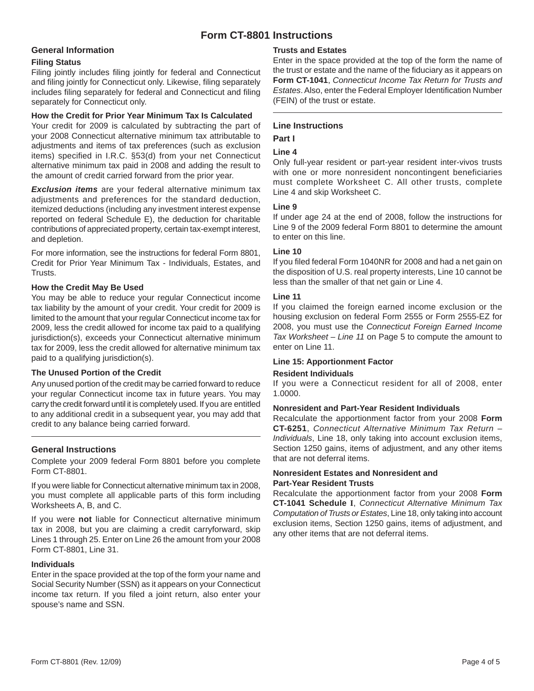# **Form CT-8801 Instructions**

## **General Information**

#### **Filing Status**

Filing jointly includes filing jointly for federal and Connecticut and filing jointly for Connecticut only. Likewise, filing separately includes filing separately for federal and Connecticut and filing separately for Connecticut only.

#### **How the Credit for Prior Year Minimum Tax Is Calculated**

Your credit for 2009 is calculated by subtracting the part of your 2008 Connecticut alternative minimum tax attributable to adjustments and items of tax preferences (such as exclusion items) specified in I.R.C. §53(d) from your net Connecticut alternative minimum tax paid in 2008 and adding the result to the amount of credit carried forward from the prior year.

*Exclusion items* are your federal alternative minimum tax adjustments and preferences for the standard deduction, itemized deductions (including any investment interest expense reported on federal Schedule E), the deduction for charitable contributions of appreciated property, certain tax-exempt interest, and depletion.

For more information, see the instructions for federal Form 8801, Credit for Prior Year Minimum Tax - Individuals, Estates, and Trusts.

## **How the Credit May Be Used**

You may be able to reduce your regular Connecticut income tax liability by the amount of your credit. Your credit for 2009 is limited to the amount that your regular Connecticut income tax for 2009, less the credit allowed for income tax paid to a qualifying jurisdiction(s), exceeds your Connecticut alternative minimum tax for 2009, less the credit allowed for alternative minimum tax paid to a qualifying jurisdiction(s).

## **The Unused Portion of the Credit**

Any unused portion of the credit may be carried forward to reduce your regular Connecticut income tax in future years. You may carry the credit forward until it is completely used. If you are entitled to any additional credit in a subsequent year, you may add that credit to any balance being carried forward.

## **General Instructions**

Complete your 2009 federal Form 8801 before you complete Form CT-8801.

If you were liable for Connecticut alternative minimum tax in 2008, you must complete all applicable parts of this form including Worksheets A, B, and C.

If you were **not** liable for Connecticut alternative minimum tax in 2008, but you are claiming a credit carryforward, skip Lines 1 through 25. Enter on Line 26 the amount from your 2008 Form CT-8801, Line 31.

## **Individuals**

Enter in the space provided at the top of the form your name and Social Security Number (SSN) as it appears on your Connecticut income tax return. If you filed a joint return, also enter your spouse's name and SSN.

## **Trusts and Estates**

Enter in the space provided at the top of the form the name of the trust or estate and the name of the fiduciary as it appears on **Form CT-1041**, *Connecticut Income Tax Return for Trusts and*  **Estates. Also, enter the Federal Employer Identification Number** (FEIN) of the trust or estate.

## **Line Instructions**

## **Part I**

## **Line 4**

Only full-year resident or part-year resident inter-vivos trusts with one or more nonresident noncontingent beneficiaries must complete Worksheet C. All other trusts, complete Line 4 and skip Worksheet C.

## **Line 9**

If under age 24 at the end of 2008, follow the instructions for Line 9 of the 2009 federal Form 8801 to determine the amount to enter on this line.

## **Line 10**

If you filed federal Form 1040NR for 2008 and had a net gain on the disposition of U.S. real property interests, Line 10 cannot be less than the smaller of that net gain or Line 4.

## **Line 11**

If you claimed the foreign earned income exclusion or the housing exclusion on federal Form 2555 or Form 2555-EZ for 2008, you must use the *Connecticut Foreign Earned Income Tax Worksheet – Line 11* on Page 5 to compute the amount to enter on Line 11.

## **Line 15: Apportionment Factor**

## **Resident Individuals**

If you were a Connecticut resident for all of 2008, enter 1.0000.

## **Nonresident and Part-Year Resident Individuals**

Recalculate the apportionment factor from your 2008 **Form CT-6251**, *Connecticut Alternative Minimum Tax Return – Individuals*, Line 18, only taking into account exclusion items, Section 1250 gains, items of adjustment, and any other items that are not deferral items.

#### **Nonresident Estates and Nonresident and Part-Year Resident Trusts**

Recalculate the apportionment factor from your 2008 **Form CT-1041 Schedule I**, *Connecticut Alternative Minimum Tax Computation of Trusts or Estates*, Line 18, only taking into account exclusion items, Section 1250 gains, items of adjustment, and any other items that are not deferral items.